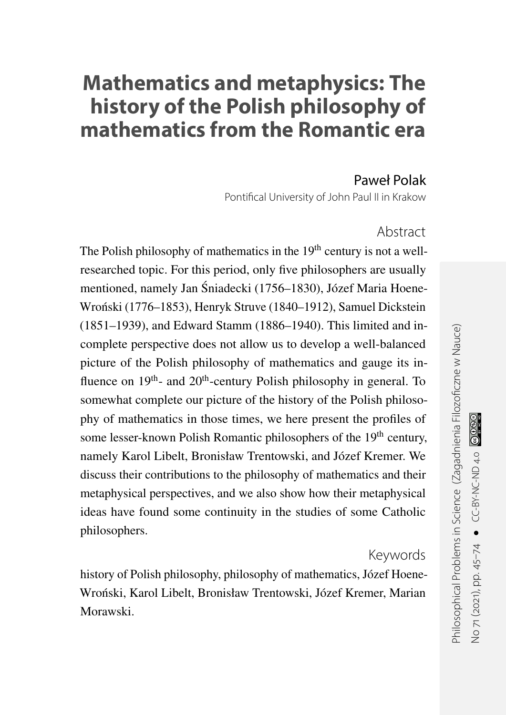# **Mathematics and metaphysics: The history of the Polish philosophy of mathematics from the Romantic era**

#### Paweł Polak

Pontifical University of John Paul II in Krakow

#### Abstract

The Polish philosophy of mathematics in the  $19<sup>th</sup>$  century is not a wellresearched topic. For this period, only five philosophers are usually mentioned, namely Jan Sniadecki (1756–1830), Józef Maria Hoene- ´ Wronski (1776–1853), Henryk Struve (1840–1912), Samuel Dickstein ´ (1851–1939), and Edward Stamm (1886–1940). This limited and incomplete perspective does not allow us to develop a well-balanced picture of the Polish philosophy of mathematics and gauge its influence on  $19<sup>th</sup>$ - and  $20<sup>th</sup>$ -century Polish philosophy in general. To somewhat complete our picture of the history of the Polish philosophy of mathematics in those times, we here present the profiles of some lesser-known Polish Romantic philosophers of the 19<sup>th</sup> century, namely Karol Libelt, Bronisław Trentowski, and Józef Kremer. We discuss their contributions to the philosophy of mathematics and their metaphysical perspectives, and we also show how their metaphysical ideas have found some continuity in the studies of some Catholic philosophers.

#### Keywords

history of Polish philosophy, philosophy of mathematics, Józef Hoene-Wronski, Karol Libelt, Bronisław Trentowski, Józef Kremer, Marian ´ Morawski.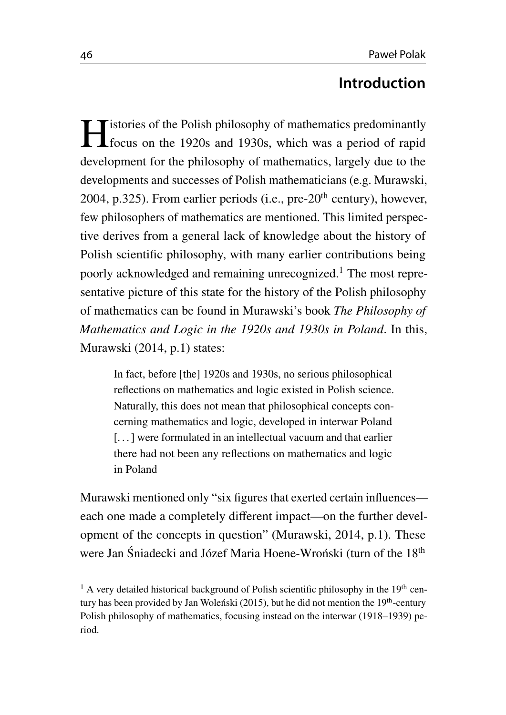### **Introduction**

Interior Soft the Polish philosophy of mathematics predominantly<br>focus on the 1920s and 1930s, which was a period of rapid focus on the 1920s and 1930s, which was a period of rapid development for the philosophy of mathematics, largely due to the developments and successes of Polish mathematicians (e.g. Murawski, [2004,](#page-26-0) p.325). From earlier periods (i.e., pre- $20<sup>th</sup>$  century), however, few philosophers of mathematics are mentioned. This limited perspective derives from a general lack of knowledge about the history of Polish scientific philosophy, with many earlier contributions being poorly acknowledged and remaining unrecognized.[1](#page-1-0) The most representative picture of this state for the history of the Polish philosophy of mathematics can be found in Murawski's book *The Philosophy of Mathematics and Logic in the 1920s and 1930s in Poland*. In this, Murawski [\(2014,](#page-26-1) p.1) states:

In fact, before [the] 1920s and 1930s, no serious philosophical reflections on mathematics and logic existed in Polish science. Naturally, this does not mean that philosophical concepts concerning mathematics and logic, developed in interwar Poland [...] were formulated in an intellectual vacuum and that earlier there had not been any reflections on mathematics and logic in Poland

Murawski mentioned only "six figures that exerted certain influences each one made a completely different impact—on the further development of the concepts in question" (Murawski, [2014,](#page-26-1) p.1). These were Jan Śniadecki and Józef Maria Hoene-Wroński (turn of the 18<sup>th</sup>

<span id="page-1-0"></span> $1$  A very detailed historical background of Polish scientific philosophy in the 19<sup>th</sup> century has been provided by Jan Woleński (2015), but he did not mention the 19<sup>th</sup>-century Polish philosophy of mathematics, focusing instead on the interwar (1918–1939) period.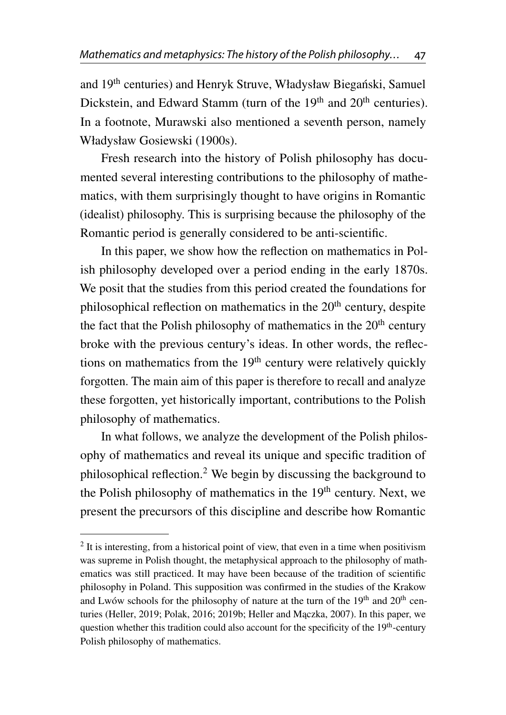and 19<sup>th</sup> centuries) and Henryk Struve, Władysław Biegański, Samuel Dickstein, and Edward Stamm (turn of the 19<sup>th</sup> and 20<sup>th</sup> centuries). In a footnote, Murawski also mentioned a seventh person, namely Władysław Gosiewski (1900s).

Fresh research into the history of Polish philosophy has documented several interesting contributions to the philosophy of mathematics, with them surprisingly thought to have origins in Romantic (idealist) philosophy. This is surprising because the philosophy of the Romantic period is generally considered to be anti-scientific.

In this paper, we show how the reflection on mathematics in Polish philosophy developed over a period ending in the early 1870s. We posit that the studies from this period created the foundations for philosophical reflection on mathematics in the 20<sup>th</sup> century, despite the fact that the Polish philosophy of mathematics in the  $20<sup>th</sup>$  century broke with the previous century's ideas. In other words, the reflections on mathematics from the 19th century were relatively quickly forgotten. The main aim of this paper is therefore to recall and analyze these forgotten, yet historically important, contributions to the Polish philosophy of mathematics.

In what follows, we analyze the development of the Polish philosophy of mathematics and reveal its unique and specific tradition of philosophical reflection.[2](#page-2-0) We begin by discussing the background to the Polish philosophy of mathematics in the  $19<sup>th</sup>$  century. Next, we present the precursors of this discipline and describe how Romantic

<span id="page-2-0"></span> $2$  It is interesting, from a historical point of view, that even in a time when positivism was supreme in Polish thought, the metaphysical approach to the philosophy of mathematics was still practiced. It may have been because of the tradition of scientific philosophy in Poland. This supposition was confirmed in the studies of the Krakow and Lwów schools for the philosophy of nature at the turn of the 19<sup>th</sup> and 20<sup>th</sup> cen-turies (Heller, [2019;](#page-23-0) Polak, [2016;](#page-27-0) [2019b;](#page-27-1) Heller and Maczka, [2007\)](#page-23-1). In this paper, we question whether this tradition could also account for the specificity of the  $19<sup>th</sup>$ -century Polish philosophy of mathematics.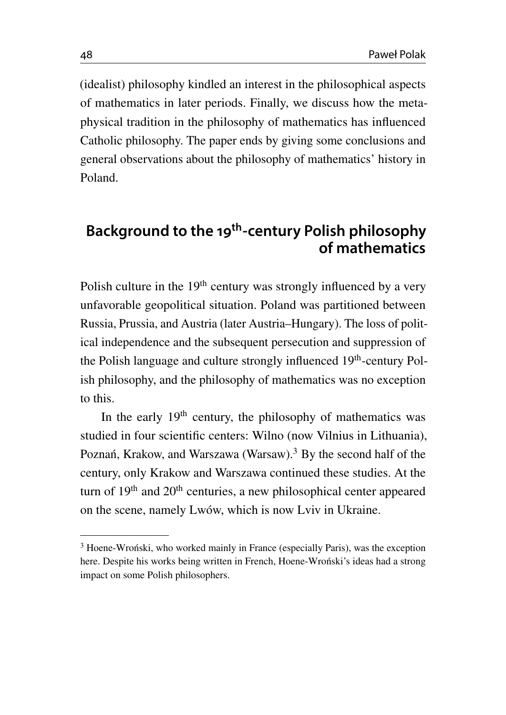(idealist) philosophy kindled an interest in the philosophical aspects of mathematics in later periods. Finally, we discuss how the metaphysical tradition in the philosophy of mathematics has influenced Catholic philosophy. The paper ends by giving some conclusions and general observations about the philosophy of mathematics' history in Poland.

## **Background to the 19 th -century Polish philosophy of mathematics**

Polish culture in the  $19<sup>th</sup>$  century was strongly influenced by a very unfavorable geopolitical situation. Poland was partitioned between Russia, Prussia, and Austria (later Austria–Hungary). The loss of political independence and the subsequent persecution and suppression of the Polish language and culture strongly influenced 19<sup>th</sup>-century Polish philosophy, and the philosophy of mathematics was no exception to this.

In the early  $19<sup>th</sup>$  century, the philosophy of mathematics was studied in four scientific centers: Wilno (now Vilnius in Lithuania), Poznań, Krakow, and Warszawa (Warsaw).<sup>[3](#page-3-0)</sup> By the second half of the century, only Krakow and Warszawa continued these studies. At the turn of 19<sup>th</sup> and 20<sup>th</sup> centuries, a new philosophical center appeared on the scene, namely Lwów, which is now Lviv in Ukraine.

<span id="page-3-0"></span><sup>&</sup>lt;sup>3</sup> Hoene-Wroński, who worked mainly in France (especially Paris), was the exception here. Despite his works being written in French, Hoene-Wronski's ideas had a strong impact on some Polish philosophers.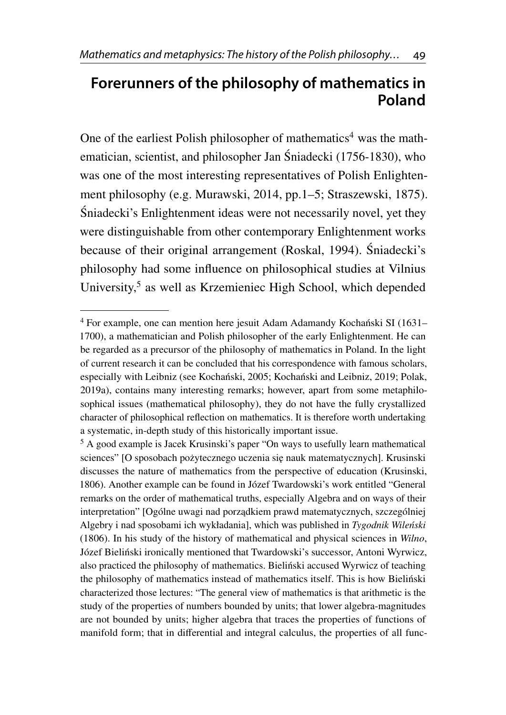## **Forerunners of the philosophy of mathematics in Poland**

One of the earliest Polish philosopher of mathematics<sup>[4](#page-4-0)</sup> was the mathematician, scientist, and philosopher Jan Sniadecki (1756-1830), who ´ was one of the most interesting representatives of Polish Enlightenment philosophy (e.g. Murawski, [2014,](#page-26-1) pp.1–5; Straszewski, [1875\)](#page-28-0). Sniadecki's Enlightenment ideas were not necessarily novel, yet they ´ were distinguishable from other contemporary Enlightenment works because of their original arrangement (Roskal, [1994\)](#page-28-1). Śniadecki's philosophy had some influence on philosophical studies at Vilnius University,<sup>[5](#page-4-1)</sup> as well as Krzemieniec High School, which depended

<span id="page-4-0"></span><sup>&</sup>lt;sup>4</sup> For example, one can mention here jesuit Adam Adamandy Kochański SI (1631– 1700), a mathematician and Polish philosopher of the early Enlightenment. He can be regarded as a precursor of the philosophy of mathematics in Poland. In the light of current research it can be concluded that his correspondence with famous scholars, especially with Leibniz (see Kochański, [2005;](#page-25-0) Kochański and Leibniz, [2019;](#page-25-1) Polak, [2019a\)](#page-27-2), contains many interesting remarks; however, apart from some metaphilosophical issues (mathematical philosophy), they do not have the fully crystallized character of philosophical reflection on mathematics. It is therefore worth undertaking a systematic, in-depth study of this historically important issue.

<span id="page-4-1"></span><sup>5</sup> A good example is Jacek Krusinski's paper "On ways to usefully learn mathematical sciences" [O sposobach pożytecznego uczenia się nauk matematycznych]. Krusinski discusses the nature of mathematics from the perspective of education (Krusinski, [1806\)](#page-25-2). Another example can be found in Józef Twardowski's work entitled "General remarks on the order of mathematical truths, especially Algebra and on ways of their interpretation" [Ogólne uwagi nad porządkiem prawd matematycznych, szczególniej Algebry i nad sposobami ich wykładania], which was published in *Tygodnik Wileński* (1806). In his study of the history of mathematical and physical sciences in *Wilno*, Józef Bielinski ironically mentioned that Twardowski's successor, Antoni Wyrwicz, ´ also practiced the philosophy of mathematics. Bieliński accused Wyrwicz of teaching the philosophy of mathematics instead of mathematics itself. This is how Bielinski ´ characterized those lectures: "The general view of mathematics is that arithmetic is the study of the properties of numbers bounded by units; that lower algebra-magnitudes are not bounded by units; higher algebra that traces the properties of functions of manifold form; that in differential and integral calculus, the properties of all func-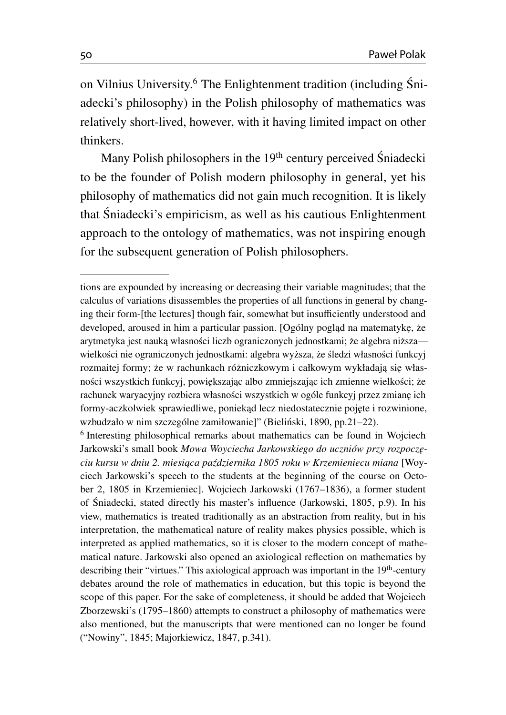on Vilnius University.[6](#page-5-0) The Enlightenment tradition (including Sni- ´ adecki's philosophy) in the Polish philosophy of mathematics was relatively short-lived, however, with it having limited impact on other thinkers.

Many Polish philosophers in the 19<sup>th</sup> century perceived Śniadecki to be the founder of Polish modern philosophy in general, yet his philosophy of mathematics did not gain much recognition. It is likely that Sniadecki's empiricism, as well as his cautious Enlightenment ´ approach to the ontology of mathematics, was not inspiring enough for the subsequent generation of Polish philosophers.

<span id="page-5-0"></span>6 Interesting philosophical remarks about mathematics can be found in Wojciech Jarkowski's small book Mowa Woyciecha Jarkowskiego do uczniów przy rozpoczę*ciu kursu w dniu 2. miesi ˛aca pa´zdziernika 1805 roku w Krzemieniecu miana* [Woyciech Jarkowski's speech to the students at the beginning of the course on October 2, 1805 in Krzemieniec]. Wojciech Jarkowski (1767–1836), a former student of Śniadecki, stated directly his master's influence (Jarkowski, [1805,](#page-24-0) p.9). In his view, mathematics is treated traditionally as an abstraction from reality, but in his interpretation, the mathematical nature of reality makes physics possible, which is interpreted as applied mathematics, so it is closer to the modern concept of mathematical nature. Jarkowski also opened an axiological reflection on mathematics by describing their "virtues." This axiological approach was important in the 19<sup>th</sup>-century debates around the role of mathematics in education, but this topic is beyond the scope of this paper. For the sake of completeness, it should be added that Wojciech Zborzewski's (1795–1860) attempts to construct a philosophy of mathematics were also mentioned, but the manuscripts that were mentioned can no longer be found [\("Nowiny",](#page-27-3) [1845;](#page-27-3) Majorkiewicz, [1847,](#page-26-2) p.341).

tions are expounded by increasing or decreasing their variable magnitudes; that the calculus of variations disassembles the properties of all functions in general by changing their form-[the lectures] though fair, somewhat but insufficiently understood and developed, aroused in him a particular passion. [Ogólny pogląd na matematykę, że arytmetyka jest nauką własności liczb ograniczonych jednostkami; że algebra niższawielkości nie ograniczonych jednostkami: algebra wyższa, że śledzi własności funkcyj rozmaitej formy; że w rachunkach różniczkowym i całkowym wykładają się własności wszystkich funkcyj, powiększając albo zmniejszając ich zmienne wielkości; że rachunek waryacyjny rozbiera własności wszystkich w ogóle funkcyj przez zmianę ich formy-aczkolwiek sprawiedliwe, poniekąd lecz niedostatecznie pojęte i rozwinione, wzbudzało w nim szczególne zamiłowanie]" (Bieliński, [1890,](#page-23-2) pp.21–22).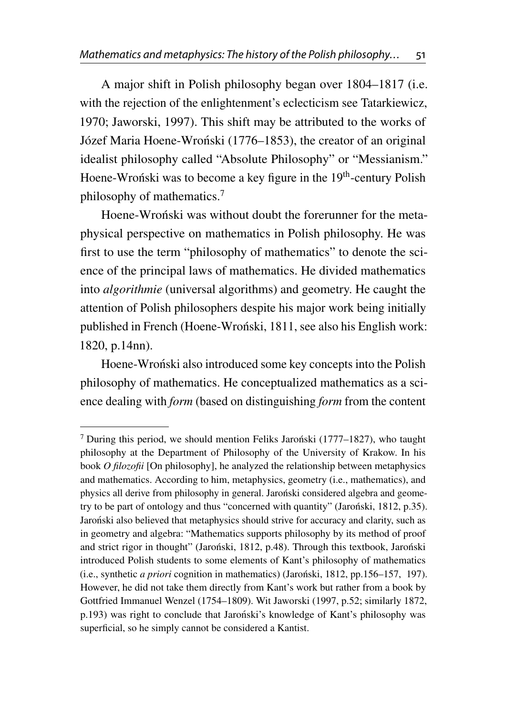A major shift in Polish philosophy began over 1804–1817 (i.e. with the rejection of the enlightenment's eclecticism see Tatarkiewicz, [1970;](#page-28-2) Jaworski, [1997\)](#page-24-1). This shift may be attributed to the works of Józef Maria Hoene-Wroński (1776–1853), the creator of an original idealist philosophy called "Absolute Philosophy" or "Messianism." Hoene-Wroński was to become a key figure in the 19<sup>th</sup>-century Polish philosophy of mathematics.[7](#page-6-0)

Hoene-Wronski was without doubt the forerunner for the metaphysical perspective on mathematics in Polish philosophy. He was first to use the term "philosophy of mathematics" to denote the science of the principal laws of mathematics. He divided mathematics into *algorithmie* (universal algorithms) and geometry. He caught the attention of Polish philosophers despite his major work being initially published in French (Hoene-Wronski, [1811,](#page-24-2) see also his English work: [1820,](#page-24-3) p.14nn).

Hoene-Wronski also introduced some key concepts into the Polish philosophy of mathematics. He conceptualized mathematics as a science dealing with *form* (based on distinguishing *form* from the content

<span id="page-6-0"></span> $7$  During this period, we should mention Feliks Jaronski (1777–1827), who taught philosophy at the Department of Philosophy of the University of Krakow. In his book *O filozofii* [On philosophy], he analyzed the relationship between metaphysics and mathematics. According to him, metaphysics, geometry (i.e., mathematics), and physics all derive from philosophy in general. Jaronski considered algebra and geome- ´ try to be part of ontology and thus "concerned with quantity" (Jaronski,  $1812$ , p.35). Jaronski also believed that metaphysics should strive for accuracy and clarity, such as in geometry and algebra: "Mathematics supports philosophy by its method of proof and strict rigor in thought" (Jaronski,  $1812$ , p.48). Through this textbook, Jaronski introduced Polish students to some elements of Kant's philosophy of mathematics (i.e., synthetic *a priori* cognition in mathematics) (Jaronski, ´ [1812,](#page-24-4) pp.156–157, 197). However, he did not take them directly from Kant's work but rather from a book by Gottfried Immanuel Wenzel (1754–1809). Wit Jaworski [\(1997,](#page-24-1) p.52; similarly [1872,](#page-29-0) p.193) was right to conclude that Jaronski's knowledge of Kant's philosophy was superficial, so he simply cannot be considered a Kantist.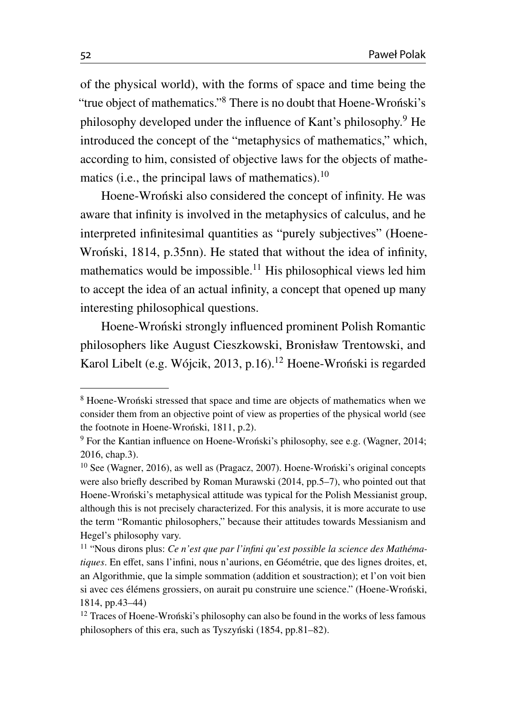of the physical world), with the forms of space and time being the "true object of mathematics."[8](#page-7-0) There is no doubt that Hoene-Wronski's ´ philosophy developed under the influence of Kant's philosophy.[9](#page-7-1) He introduced the concept of the "metaphysics of mathematics," which, according to him, consisted of objective laws for the objects of mathematics (i.e., the principal laws of mathematics). $10$ 

Hoene-Wroński also considered the concept of infinity. He was aware that infinity is involved in the metaphysics of calculus, and he interpreted infinitesimal quantities as "purely subjectives" (Hoene-Wroński, [1814,](#page-24-5) p.35nn). He stated that without the idea of infinity, mathematics would be impossible.<sup>[11](#page-7-3)</sup> His philosophical views led him to accept the idea of an actual infinity, a concept that opened up many interesting philosophical questions.

Hoene-Wroński strongly influenced prominent Polish Romantic philosophers like August Cieszkowski, Bronisław Trentowski, and Karol Libelt (e.g. Wójcik, [2013,](#page-29-1) p.16).<sup>[12](#page-7-4)</sup> Hoene-Wronski is regarded

<span id="page-7-0"></span><sup>&</sup>lt;sup>8</sup> Hoene-Wroński stressed that space and time are objects of mathematics when we consider them from an objective point of view as properties of the physical world (see the footnote in Hoene-Wroński, [1811,](#page-24-2) p.2).

<span id="page-7-1"></span> $9$  For the Kantian influence on Hoene-Wronski's philosophy, see e.g. (Wagner, [2014;](#page-29-2) [2016,](#page-29-3) chap.3).

<span id="page-7-2"></span> $10$  See (Wagner, [2016\)](#page-29-3), as well as (Pragacz, [2007\)](#page-27-4). Hoene-Wronski's original concepts were also briefly described by Roman Murawski [\(2014,](#page-26-1) pp.5–7), who pointed out that Hoene-Wronski's metaphysical attitude was typical for the Polish Messianist group, although this is not precisely characterized. For this analysis, it is more accurate to use the term "Romantic philosophers," because their attitudes towards Messianism and Hegel's philosophy vary.

<span id="page-7-3"></span><sup>11</sup> "Nous dirons plus: *Ce n'est que par l'infini qu'est possible la science des Mathématiques*. En effet, sans l'infini, nous n'aurions, en Géométrie, que des lignes droites, et, an Algorithmie, que la simple sommation (addition et soustraction); et l'on voit bien si avec ces élémens grossiers, on aurait pu construire une science." (Hoene-Wronski, ´ [1814,](#page-24-5) pp.43–44)

<span id="page-7-4"></span><sup>&</sup>lt;sup>12</sup> Traces of Hoene-Wroński's philosophy can also be found in the works of less famous philosophers of this era, such as Tyszynski  $(1854, \text{pp.}81-82)$  $(1854, \text{pp.}81-82)$  $(1854, \text{pp.}81-82)$ .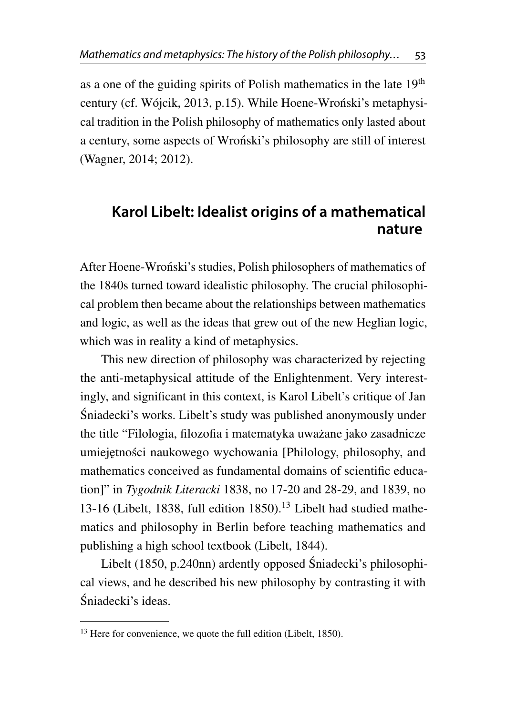as a one of the guiding spirits of Polish mathematics in the late 19<sup>th</sup> century (cf. Wójcik, [2013,](#page-29-1) p.15). While Hoene-Wronski's metaphysical tradition in the Polish philosophy of mathematics only lasted about a century, some aspects of Wronski's philosophy are still of interest (Wagner, [2014;](#page-29-2) [2012\)](#page-28-4).

### **Karol Libelt: Idealist origins of a mathematical nature**

After Hoene-Wronski's studies, Polish philosophers of mathematics of ´ the 1840s turned toward idealistic philosophy. The crucial philosophical problem then became about the relationships between mathematics and logic, as well as the ideas that grew out of the new Heglian logic, which was in reality a kind of metaphysics.

This new direction of philosophy was characterized by rejecting the anti-metaphysical attitude of the Enlightenment. Very interestingly, and significant in this context, is Karol Libelt's critique of Jan Sniadecki's works. Libelt's study was published anonymously under ´ the title "Filologia, filozofia i matematyka uważane jako zasadnicze umiejętności naukowego wychowania [Philology, philosophy, and mathematics conceived as fundamental domains of scientific education]" in *Tygodnik Literacki* 1838, no 17-20 and 28-29, and 1839, no 13-16 (Libelt, [1838,](#page-25-3) full edition  $1850$ ).<sup>[13](#page-8-0)</sup> Libelt had studied mathematics and philosophy in Berlin before teaching mathematics and publishing a high school textbook (Libelt, [1844\)](#page-26-3).

Libelt [\(1850,](#page-26-4) p.240nn) ardently opposed Śniadecki's philosophical views, and he described his new philosophy by contrasting it with Sniadecki's ideas. ´

<span id="page-8-0"></span><sup>&</sup>lt;sup>13</sup> Here for convenience, we quote the full edition (Libelt, [1850\)](#page-26-4).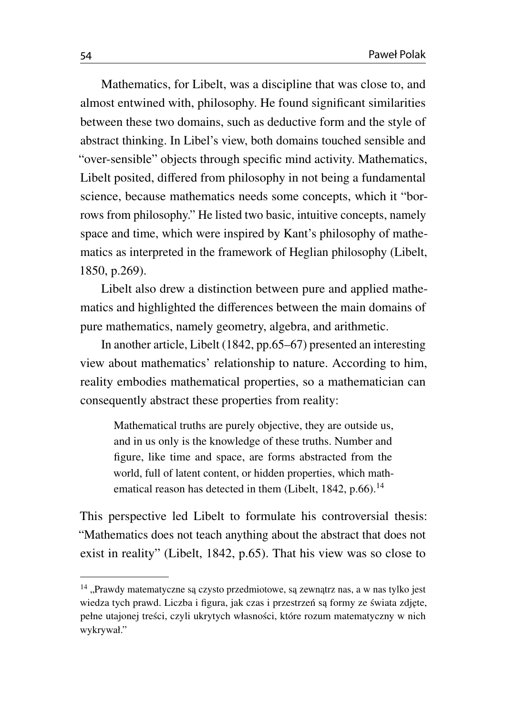Mathematics, for Libelt, was a discipline that was close to, and almost entwined with, philosophy. He found significant similarities between these two domains, such as deductive form and the style of abstract thinking. In Libel's view, both domains touched sensible and "over-sensible" objects through specific mind activity. Mathematics, Libelt posited, differed from philosophy in not being a fundamental science, because mathematics needs some concepts, which it "borrows from philosophy." He listed two basic, intuitive concepts, namely space and time, which were inspired by Kant's philosophy of mathematics as interpreted in the framework of Heglian philosophy (Libelt, [1850,](#page-26-4) p.269).

Libelt also drew a distinction between pure and applied mathematics and highlighted the differences between the main domains of pure mathematics, namely geometry, algebra, and arithmetic.

In another article, Libelt [\(1842,](#page-25-4) pp.65–67) presented an interesting view about mathematics' relationship to nature. According to him, reality embodies mathematical properties, so a mathematician can consequently abstract these properties from reality:

Mathematical truths are purely objective, they are outside us, and in us only is the knowledge of these truths. Number and figure, like time and space, are forms abstracted from the world, full of latent content, or hidden properties, which math-ematical reason has detected in them (Libelt, [1842,](#page-25-4) p.66).<sup>[14](#page-9-0)</sup>

This perspective led Libelt to formulate his controversial thesis: "Mathematics does not teach anything about the abstract that does not exist in reality" (Libelt, [1842,](#page-25-4) p.65). That his view was so close to

<span id="page-9-0"></span> $14$  "Prawdy matematyczne sa czysto przedmiotowe, sa zewnatrz nas, a w nas tylko jest wiedza tych prawd. Liczba i figura, jak czas i przestrzeń są formy ze świata zdjęte, pełne utajonej treści, czyli ukrytych własności, które rozum matematyczny w nich wykrywał."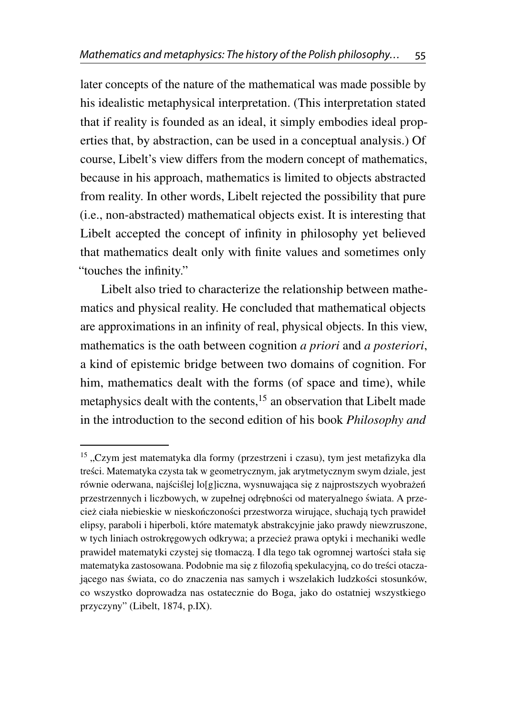later concepts of the nature of the mathematical was made possible by his idealistic metaphysical interpretation. (This interpretation stated that if reality is founded as an ideal, it simply embodies ideal properties that, by abstraction, can be used in a conceptual analysis.) Of course, Libelt's view differs from the modern concept of mathematics, because in his approach, mathematics is limited to objects abstracted from reality. In other words, Libelt rejected the possibility that pure (i.e., non-abstracted) mathematical objects exist. It is interesting that Libelt accepted the concept of infinity in philosophy yet believed that mathematics dealt only with finite values and sometimes only "touches the infinity."

Libelt also tried to characterize the relationship between mathematics and physical reality. He concluded that mathematical objects are approximations in an infinity of real, physical objects. In this view, mathematics is the oath between cognition *a priori* and *a posteriori*, a kind of epistemic bridge between two domains of cognition. For him, mathematics dealt with the forms (of space and time), while metaphysics dealt with the contents, $15$  an observation that Libelt made in the introduction to the second edition of his book *Philosophy and*

<span id="page-10-0"></span> $15$ , Czym jest matematyka dla formy (przestrzeni i czasu), tym jest metafizyka dla tresci. Matematyka czysta tak w geometrycznym, jak arytmetycznym swym dziale, jest ´ równie oderwana, najściślej lo $[g]$ iczna, wysnuwająca się z najprostszych wyobrażeń przestrzennych i liczbowych, w zupełnej odrębności od materyalnego świata. A przecież ciała niebieskie w nieskończoności przestworza wirujące, słuchają tych prawideł elipsy, paraboli i hiperboli, które matematyk abstrakcyjnie jako prawdy niewzruszone, w tych liniach ostrokręgowych odkrywa; a przecież prawa optyki i mechaniki wedle prawideł matematyki czystej się tłomaczą. I dla tego tak ogromnej wartości stała się matematyka zastosowana. Podobnie ma się z filozofią spekulacyjną, co do treści otaczającego nas świata, co do znaczenia nas samych i wszelakich ludzkości stosunków, co wszystko doprowadza nas ostatecznie do Boga, jako do ostatniej wszystkiego przyczyny" (Libelt, [1874,](#page-26-5) p.IX).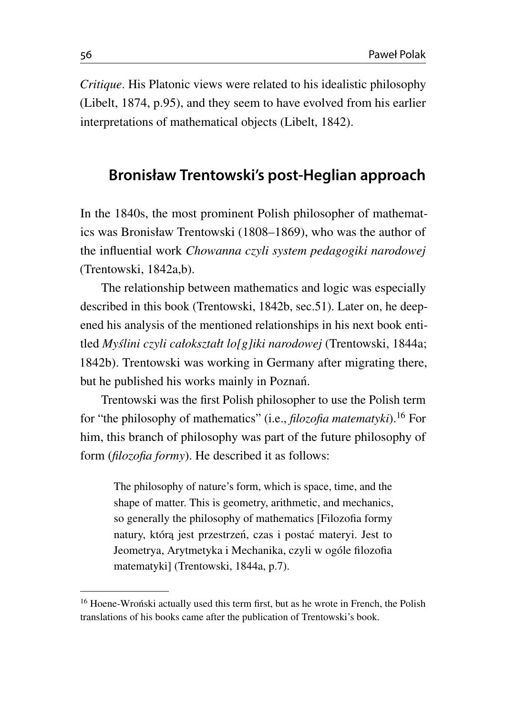*Critique*. His Platonic views were related to his idealistic philosophy (Libelt, [1874,](#page-26-5) p.95), and they seem to have evolved from his earlier interpretations of mathematical objects (Libelt, [1842\)](#page-25-4).

#### **Bronisław Trentowski's post-Heglian approach**

In the 1840s, the most prominent Polish philosopher of mathematics was Bronisław Trentowski (1808–1869), who was the author of the influential work *Chowanna czyli system pedagogiki narodowej* (Trentowski, [1842a,](#page-28-5)[b\)](#page-28-6).

The relationship between mathematics and logic was especially described in this book (Trentowski, [1842b,](#page-28-6) sec.51). Later on, he deepened his analysis of the mentioned relationships in his next book entitled *Myslini czyli całokształt lo[g]iki narodowej ´* (Trentowski, [1844a;](#page-28-7) [1842b\)](#page-28-6). Trentowski was working in Germany after migrating there, but he published his works mainly in Poznań.

Trentowski was the first Polish philosopher to use the Polish term for "the philosophy of mathematics" (i.e., *filozofia matematyki*).[16](#page-11-0) For him, this branch of philosophy was part of the future philosophy of form (*filozofia formy*). He described it as follows:

The philosophy of nature's form, which is space, time, and the shape of matter. This is geometry, arithmetic, and mechanics, so generally the philosophy of mathematics [Filozofia formy natury, którą jest przestrzeń, czas i postać materyi. Jest to Jeometrya, Arytmetyka i Mechanika, czyli w ogóle filozofia matematyki] (Trentowski, [1844a,](#page-28-7) p.7).

<span id="page-11-0"></span><sup>&</sup>lt;sup>16</sup> Hoene-Wronski actually used this term first, but as he wrote in French, the Polish translations of his books came after the publication of Trentowski's book.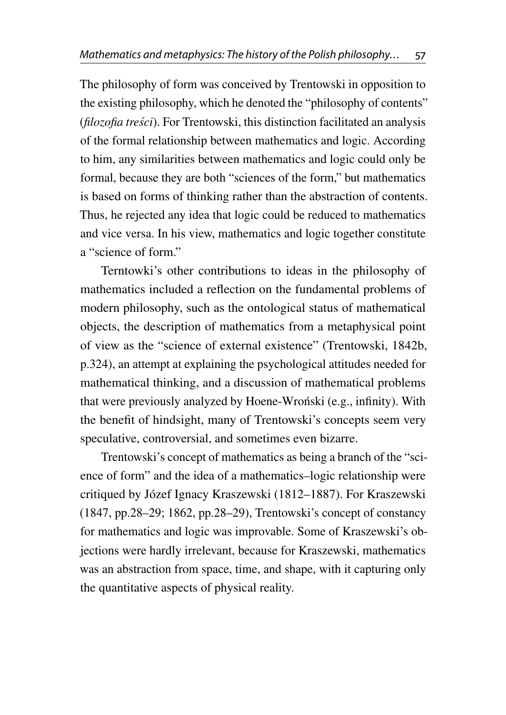The philosophy of form was conceived by Trentowski in opposition to the existing philosophy, which he denoted the "philosophy of contents" (*filozofia tresci ´* ). For Trentowski, this distinction facilitated an analysis of the formal relationship between mathematics and logic. According to him, any similarities between mathematics and logic could only be formal, because they are both "sciences of the form," but mathematics is based on forms of thinking rather than the abstraction of contents. Thus, he rejected any idea that logic could be reduced to mathematics and vice versa. In his view, mathematics and logic together constitute a "science of form."

Terntowki's other contributions to ideas in the philosophy of mathematics included a reflection on the fundamental problems of modern philosophy, such as the ontological status of mathematical objects, the description of mathematics from a metaphysical point of view as the "science of external existence" (Trentowski, [1842b,](#page-28-6) p.324), an attempt at explaining the psychological attitudes needed for mathematical thinking, and a discussion of mathematical problems that were previously analyzed by Hoene-Wronski (e.g., infinity). With the benefit of hindsight, many of Trentowski's concepts seem very speculative, controversial, and sometimes even bizarre.

Trentowski's concept of mathematics as being a branch of the "science of form" and the idea of a mathematics–logic relationship were critiqued by Józef Ignacy Kraszewski (1812–1887). For Kraszewski [\(1847,](#page-25-5) pp.28–29; [1862,](#page-25-6) pp.28–29), Trentowski's concept of constancy for mathematics and logic was improvable. Some of Kraszewski's objections were hardly irrelevant, because for Kraszewski, mathematics was an abstraction from space, time, and shape, with it capturing only the quantitative aspects of physical reality.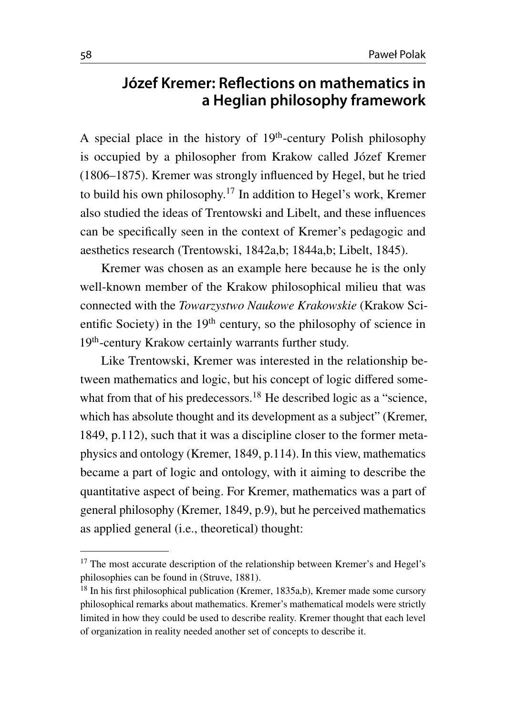### **Józef Kremer: Reflections on mathematics in a Heglian philosophy framework**

A special place in the history of 19<sup>th</sup>-century Polish philosophy is occupied by a philosopher from Krakow called Józef Kremer (1806–1875). Kremer was strongly influenced by Hegel, but he tried to build his own philosophy.[17](#page-13-0) In addition to Hegel's work, Kremer also studied the ideas of Trentowski and Libelt, and these influences can be specifically seen in the context of Kremer's pedagogic and aesthetics research (Trentowski, [1842a,](#page-28-5)[b;](#page-28-6) [1844a](#page-28-7)[,b;](#page-28-8) Libelt, [1845\)](#page-26-6).

Kremer was chosen as an example here because he is the only well-known member of the Krakow philosophical milieu that was connected with the *Towarzystwo Naukowe Krakowskie* (Krakow Scientific Society) in the  $19<sup>th</sup>$  century, so the philosophy of science in 19<sup>th</sup>-century Krakow certainly warrants further study.

Like Trentowski, Kremer was interested in the relationship between mathematics and logic, but his concept of logic differed some-what from that of his predecessors.<sup>[18](#page-13-1)</sup> He described logic as a "science, which has absolute thought and its development as a subject" (Kremer, [1849,](#page-25-7) p.112), such that it was a discipline closer to the former metaphysics and ontology (Kremer, [1849,](#page-25-7) p.114). In this view, mathematics became a part of logic and ontology, with it aiming to describe the quantitative aspect of being. For Kremer, mathematics was a part of general philosophy (Kremer, [1849,](#page-25-7) p.9), but he perceived mathematics as applied general (i.e., theoretical) thought:

<span id="page-13-0"></span><sup>&</sup>lt;sup>17</sup> The most accurate description of the relationship between Kremer's and Hegel's philosophies can be found in (Struve, [1881\)](#page-28-9).

<span id="page-13-1"></span><sup>18</sup> In his first philosophical publication (Kremer, [1835a,](#page-25-8)[b\)](#page-25-9), Kremer made some cursory philosophical remarks about mathematics. Kremer's mathematical models were strictly limited in how they could be used to describe reality. Kremer thought that each level of organization in reality needed another set of concepts to describe it.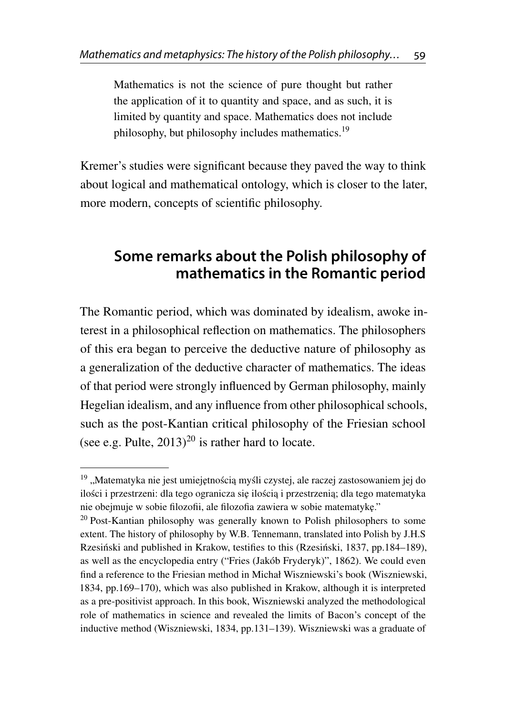Mathematics is not the science of pure thought but rather the application of it to quantity and space, and as such, it is limited by quantity and space. Mathematics does not include philosophy, but philosophy includes mathematics.<sup>[19](#page-14-0)</sup>

Kremer's studies were significant because they paved the way to think about logical and mathematical ontology, which is closer to the later, more modern, concepts of scientific philosophy.

### **Some remarks about the Polish philosophy of mathematics in the Romantic period**

The Romantic period, which was dominated by idealism, awoke interest in a philosophical reflection on mathematics. The philosophers of this era began to perceive the deductive nature of philosophy as a generalization of the deductive character of mathematics. The ideas of that period were strongly influenced by German philosophy, mainly Hegelian idealism, and any influence from other philosophical schools, such as the post-Kantian critical philosophy of the Friesian school (see e.g. Pulte,  $2013)^{20}$  $2013)^{20}$  $2013)^{20}$  $2013)^{20}$  is rather hard to locate.

<span id="page-14-0"></span> $19$ , Matematyka nie jest umiejętnością myśli czystej, ale raczej zastosowaniem jej do ilości i przestrzeni: dla tego ogranicza się ilością i przestrzenią; dla tego matematyka nie obejmuje w sobie filozofii, ale filozofia zawiera w sobie matematykę."

<span id="page-14-1"></span> $20$  Post-Kantian philosophy was generally known to Polish philosophers to some extent. The history of philosophy by W.B. Tennemann, translated into Polish by J.H.S Rzesiński and published in Krakow, testifies to this (Rzesiński, [1837,](#page-28-10) pp.184–189), as well as the encyclopedia entry [\("Fries \(Jakób Fryderyk\)",](#page-23-3) [1862\)](#page-23-3). We could even find a reference to the Friesian method in Michał Wiszniewski's book (Wiszniewski, [1834,](#page-29-4) pp.169–170), which was also published in Krakow, although it is interpreted as a pre-positivist approach. In this book, Wiszniewski analyzed the methodological role of mathematics in science and revealed the limits of Bacon's concept of the inductive method (Wiszniewski, [1834,](#page-29-4) pp.131–139). Wiszniewski was a graduate of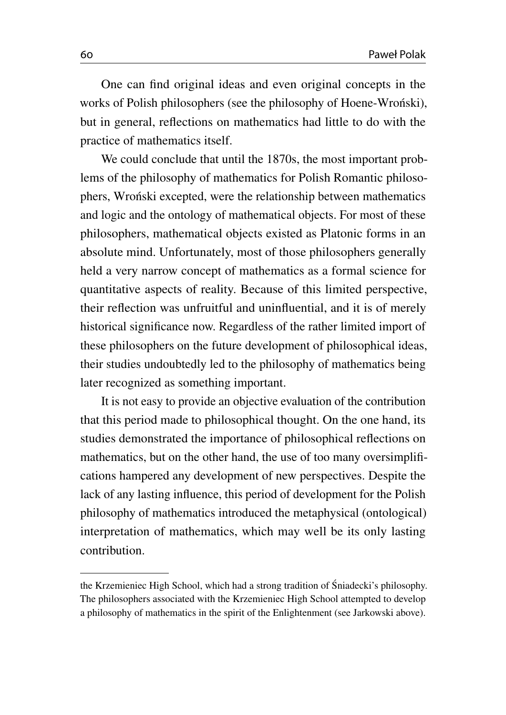One can find original ideas and even original concepts in the works of Polish philosophers (see the philosophy of Hoene-Wronski), but in general, reflections on mathematics had little to do with the practice of mathematics itself.

We could conclude that until the 1870s, the most important problems of the philosophy of mathematics for Polish Romantic philosophers, Wroński excepted, were the relationship between mathematics and logic and the ontology of mathematical objects. For most of these philosophers, mathematical objects existed as Platonic forms in an absolute mind. Unfortunately, most of those philosophers generally held a very narrow concept of mathematics as a formal science for quantitative aspects of reality. Because of this limited perspective, their reflection was unfruitful and uninfluential, and it is of merely historical significance now. Regardless of the rather limited import of these philosophers on the future development of philosophical ideas, their studies undoubtedly led to the philosophy of mathematics being later recognized as something important.

It is not easy to provide an objective evaluation of the contribution that this period made to philosophical thought. On the one hand, its studies demonstrated the importance of philosophical reflections on mathematics, but on the other hand, the use of too many oversimplifications hampered any development of new perspectives. Despite the lack of any lasting influence, this period of development for the Polish philosophy of mathematics introduced the metaphysical (ontological) interpretation of mathematics, which may well be its only lasting contribution.

the Krzemieniec High School, which had a strong tradition of Śniadecki's philosophy. The philosophers associated with the Krzemieniec High School attempted to develop a philosophy of mathematics in the spirit of the Enlightenment (see Jarkowski above).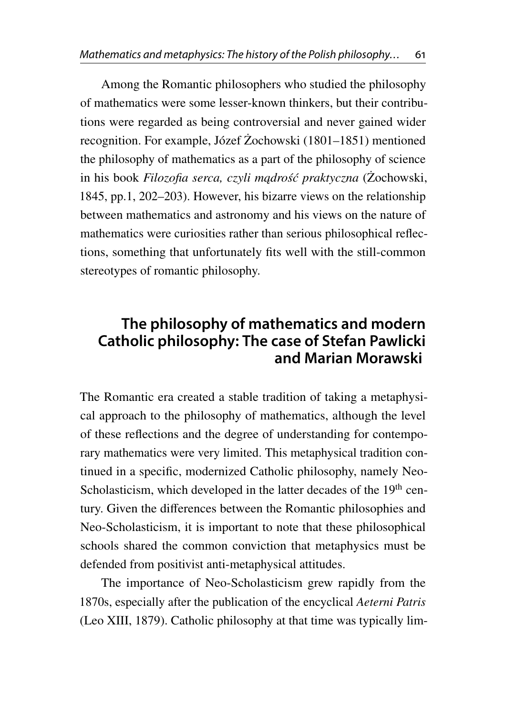Among the Romantic philosophers who studied the philosophy of mathematics were some lesser-known thinkers, but their contributions were regarded as being controversial and never gained wider recognition. For example, Józef Żochowski (1801–1851) mentioned the philosophy of mathematics as a part of the philosophy of science in his book *Filozofia serca, czyli mądrość praktyczna* (Żochowski, [1845,](#page-29-5) pp.1, 202–203). However, his bizarre views on the relationship between mathematics and astronomy and his views on the nature of mathematics were curiosities rather than serious philosophical reflections, something that unfortunately fits well with the still-common stereotypes of romantic philosophy.

### **The philosophy of mathematics and modern Catholic philosophy: The case of Stefan Pawlicki and Marian Morawski**

The Romantic era created a stable tradition of taking a metaphysical approach to the philosophy of mathematics, although the level of these reflections and the degree of understanding for contemporary mathematics were very limited. This metaphysical tradition continued in a specific, modernized Catholic philosophy, namely Neo-Scholasticism, which developed in the latter decades of the  $19<sup>th</sup>$  century. Given the differences between the Romantic philosophies and Neo-Scholasticism, it is important to note that these philosophical schools shared the common conviction that metaphysics must be defended from positivist anti-metaphysical attitudes.

The importance of Neo-Scholasticism grew rapidly from the 1870s, especially after the publication of the encyclical *Aeterni Patris* (Leo XIII, [1879\)](#page-25-10). Catholic philosophy at that time was typically lim-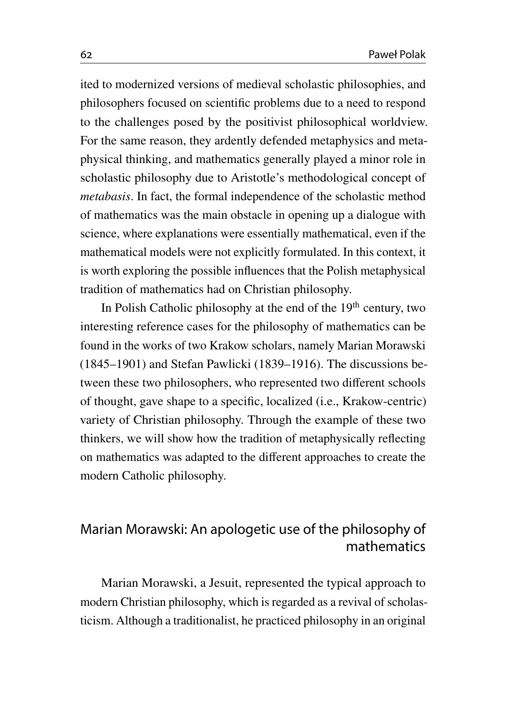ited to modernized versions of medieval scholastic philosophies, and philosophers focused on scientific problems due to a need to respond to the challenges posed by the positivist philosophical worldview. For the same reason, they ardently defended metaphysics and metaphysical thinking, and mathematics generally played a minor role in scholastic philosophy due to Aristotle's methodological concept of *metabasis*. In fact, the formal independence of the scholastic method of mathematics was the main obstacle in opening up a dialogue with science, where explanations were essentially mathematical, even if the mathematical models were not explicitly formulated. In this context, it is worth exploring the possible influences that the Polish metaphysical tradition of mathematics had on Christian philosophy.

In Polish Catholic philosophy at the end of the  $19<sup>th</sup>$  century, two interesting reference cases for the philosophy of mathematics can be found in the works of two Krakow scholars, namely Marian Morawski (1845–1901) and Stefan Pawlicki (1839–1916). The discussions between these two philosophers, who represented two different schools of thought, gave shape to a specific, localized (i.e., Krakow-centric) variety of Christian philosophy. Through the example of these two thinkers, we will show how the tradition of metaphysically reflecting on mathematics was adapted to the different approaches to create the modern Catholic philosophy.

#### Marian Morawski: An apologetic use of the philosophy of mathematics

Marian Morawski, a Jesuit, represented the typical approach to modern Christian philosophy, which is regarded as a revival of scholasticism. Although a traditionalist, he practiced philosophy in an original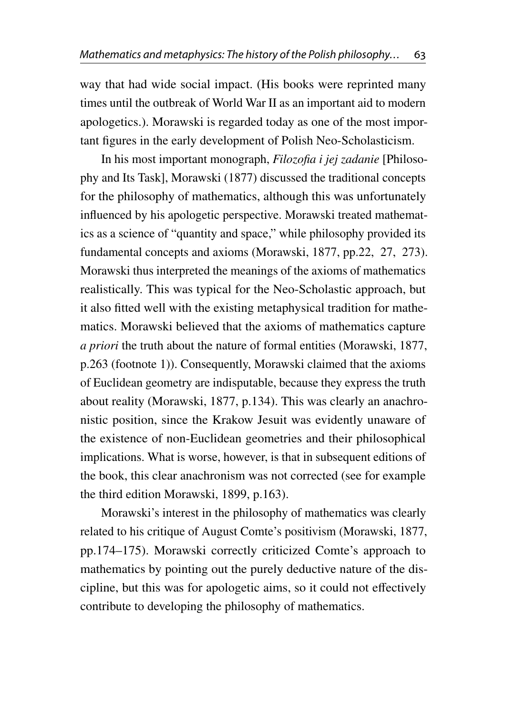way that had wide social impact. (His books were reprinted many times until the outbreak of World War II as an important aid to modern apologetics.). Morawski is regarded today as one of the most important figures in the early development of Polish Neo-Scholasticism.

In his most important monograph, *Filozofia i jej zadanie* [Philosophy and Its Task], Morawski [\(1877\)](#page-26-7) discussed the traditional concepts for the philosophy of mathematics, although this was unfortunately influenced by his apologetic perspective. Morawski treated mathematics as a science of "quantity and space," while philosophy provided its fundamental concepts and axioms (Morawski, [1877,](#page-26-7) pp.22, 27, 273). Morawski thus interpreted the meanings of the axioms of mathematics realistically. This was typical for the Neo-Scholastic approach, but it also fitted well with the existing metaphysical tradition for mathematics. Morawski believed that the axioms of mathematics capture *a priori* the truth about the nature of formal entities (Morawski, [1877,](#page-26-7) p.263 (footnote 1)). Consequently, Morawski claimed that the axioms of Euclidean geometry are indisputable, because they express the truth about reality (Morawski, 1877, p.134). This was clearly an anachronistic position, since the Krakow Jesuit was evidently unaware of the existence of non-Euclidean geometries and their philosophical implications. What is worse, however, is that in subsequent editions of the book, this clear anachronism was not corrected (see for example the third edition Morawski, [1899,](#page-26-8) p.163).

Morawski's interest in the philosophy of mathematics was clearly related to his critique of August Comte's positivism (Morawski, [1877,](#page-26-7) pp.174–175). Morawski correctly criticized Comte's approach to mathematics by pointing out the purely deductive nature of the discipline, but this was for apologetic aims, so it could not effectively contribute to developing the philosophy of mathematics.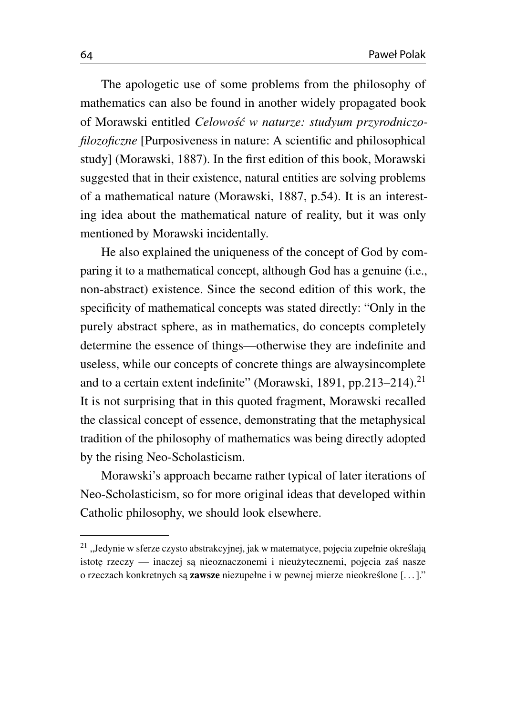The apologetic use of some problems from the philosophy of mathematics can also be found in another widely propagated book of Morawski entitled *Celowos´c w naturze: studyum przyrodniczo- ´ filozoficzne* [Purposiveness in nature: A scientific and philosophical study] (Morawski, [1887\)](#page-26-9). In the first edition of this book, Morawski suggested that in their existence, natural entities are solving problems of a mathematical nature (Morawski, [1887,](#page-26-9) p.54). It is an interesting idea about the mathematical nature of reality, but it was only mentioned by Morawski incidentally.

He also explained the uniqueness of the concept of God by comparing it to a mathematical concept, although God has a genuine (i.e., non-abstract) existence. Since the second edition of this work, the specificity of mathematical concepts was stated directly: "Only in the purely abstract sphere, as in mathematics, do concepts completely determine the essence of things—otherwise they are indefinite and useless, while our concepts of concrete things are alwaysincomplete and to a certain extent indefinite" (Morawski, [1891,](#page-26-10) pp.[21](#page-19-0)3–214).<sup>21</sup> It is not surprising that in this quoted fragment, Morawski recalled the classical concept of essence, demonstrating that the metaphysical tradition of the philosophy of mathematics was being directly adopted by the rising Neo-Scholasticism.

Morawski's approach became rather typical of later iterations of Neo-Scholasticism, so for more original ideas that developed within Catholic philosophy, we should look elsewhere.

<span id="page-19-0"></span><sup>&</sup>lt;sup>21</sup> "Jedynie w sferze czysto abstrakcyjnej, jak w matematyce, pojęcia zupełnie określają istotę rzeczy — inaczej są nieoznaczonemi i nieużytecznemi, pojęcia zaś nasze o rzeczach konkretnych są zawsze niezupełne i w pewnej mierze nieokreślone [...]."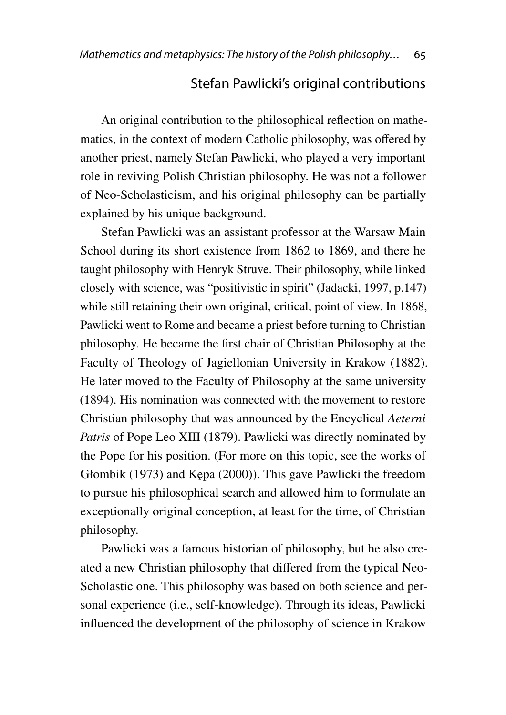#### Stefan Pawlicki's original contributions

An original contribution to the philosophical reflection on mathematics, in the context of modern Catholic philosophy, was offered by another priest, namely Stefan Pawlicki, who played a very important role in reviving Polish Christian philosophy. He was not a follower of Neo-Scholasticism, and his original philosophy can be partially explained by his unique background.

Stefan Pawlicki was an assistant professor at the Warsaw Main School during its short existence from 1862 to 1869, and there he taught philosophy with Henryk Struve. Their philosophy, while linked closely with science, was "positivistic in spirit" (Jadacki, [1997,](#page-24-6) p.147) while still retaining their own original, critical, point of view. In 1868, Pawlicki went to Rome and became a priest before turning to Christian philosophy. He became the first chair of Christian Philosophy at the Faculty of Theology of Jagiellonian University in Krakow (1882). He later moved to the Faculty of Philosophy at the same university (1894). His nomination was connected with the movement to restore Christian philosophy that was announced by the Encyclical *Aeterni Patris* of Pope Leo XIII [\(1879\)](#page-25-10). Pawlicki was directly nominated by the Pope for his position. (For more on this topic, see the works of Głombik [\(1973\)](#page-23-4) and Kępa [\(2000\)](#page-24-7)). This gave Pawlicki the freedom to pursue his philosophical search and allowed him to formulate an exceptionally original conception, at least for the time, of Christian philosophy.

Pawlicki was a famous historian of philosophy, but he also created a new Christian philosophy that differed from the typical Neo-Scholastic one. This philosophy was based on both science and personal experience (i.e., self-knowledge). Through its ideas, Pawlicki influenced the development of the philosophy of science in Krakow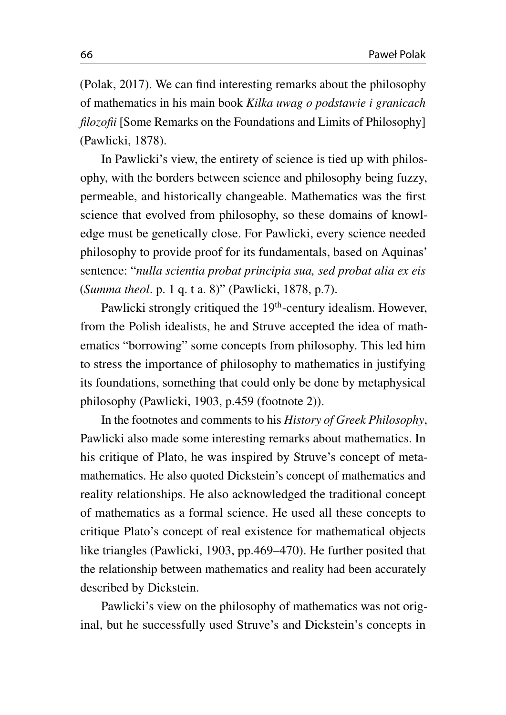(Polak, [2017\)](#page-27-6). We can find interesting remarks about the philosophy of mathematics in his main book *Kilka uwag o podstawie i granicach filozofii* [Some Remarks on the Foundations and Limits of Philosophy] (Pawlicki, [1878\)](#page-27-7).

In Pawlicki's view, the entirety of science is tied up with philosophy, with the borders between science and philosophy being fuzzy, permeable, and historically changeable. Mathematics was the first science that evolved from philosophy, so these domains of knowledge must be genetically close. For Pawlicki, every science needed philosophy to provide proof for its fundamentals, based on Aquinas' sentence: "*nulla scientia probat principia sua, sed probat alia ex eis* (*Summa theol*. p. 1 q. t a. 8)" (Pawlicki, [1878,](#page-27-7) p.7).

Pawlicki strongly critiqued the 19<sup>th</sup>-century idealism. However, from the Polish idealists, he and Struve accepted the idea of mathematics "borrowing" some concepts from philosophy. This led him to stress the importance of philosophy to mathematics in justifying its foundations, something that could only be done by metaphysical philosophy (Pawlicki, [1903,](#page-27-8) p.459 (footnote 2)).

In the footnotes and comments to his *History of Greek Philosophy*, Pawlicki also made some interesting remarks about mathematics. In his critique of Plato, he was inspired by Struve's concept of metamathematics. He also quoted Dickstein's concept of mathematics and reality relationships. He also acknowledged the traditional concept of mathematics as a formal science. He used all these concepts to critique Plato's concept of real existence for mathematical objects like triangles (Pawlicki, [1903,](#page-27-8) pp.469–470). He further posited that the relationship between mathematics and reality had been accurately described by Dickstein.

Pawlicki's view on the philosophy of mathematics was not original, but he successfully used Struve's and Dickstein's concepts in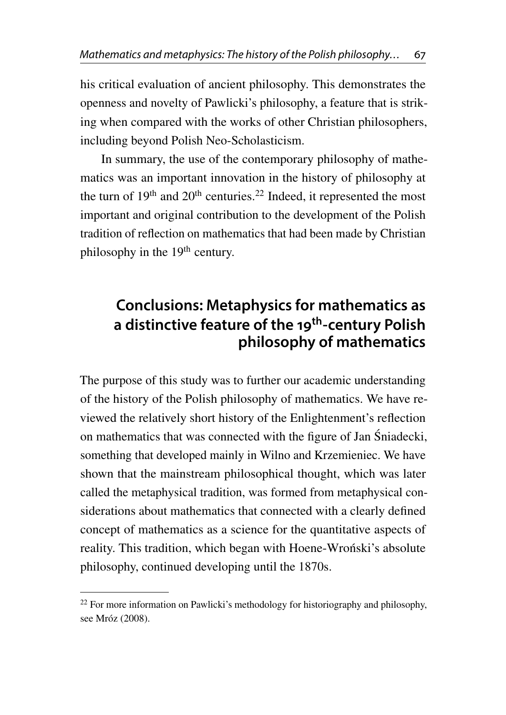his critical evaluation of ancient philosophy. This demonstrates the openness and novelty of Pawlicki's philosophy, a feature that is striking when compared with the works of other Christian philosophers, including beyond Polish Neo-Scholasticism.

In summary, the use of the contemporary philosophy of mathematics was an important innovation in the history of philosophy at the turn of  $19<sup>th</sup>$  and  $20<sup>th</sup>$  centuries.<sup>[22](#page-22-0)</sup> Indeed, it represented the most important and original contribution to the development of the Polish tradition of reflection on mathematics that had been made by Christian philosophy in the 19<sup>th</sup> century.

# **Conclusions: Metaphysics for mathematics as a distinctive feature of the 19 th -century Polish philosophy of mathematics**

The purpose of this study was to further our academic understanding of the history of the Polish philosophy of mathematics. We have reviewed the relatively short history of the Enlightenment's reflection on mathematics that was connected with the figure of Jan Sniadecki, ´ something that developed mainly in Wilno and Krzemieniec. We have shown that the mainstream philosophical thought, which was later called the metaphysical tradition, was formed from metaphysical considerations about mathematics that connected with a clearly defined concept of mathematics as a science for the quantitative aspects of reality. This tradition, which began with Hoene-Wronski's absolute philosophy, continued developing until the 1870s.

<span id="page-22-0"></span><sup>&</sup>lt;sup>22</sup> For more information on Pawlicki's methodology for historiography and philosophy, see Mróz [\(2008\)](#page-26-11).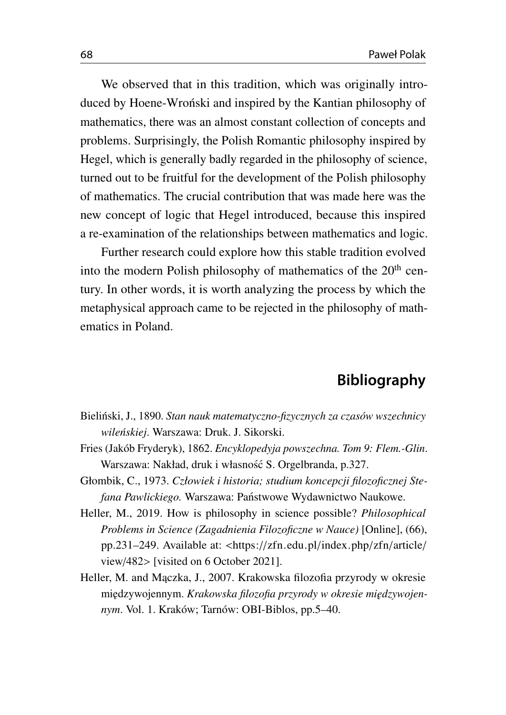We observed that in this tradition, which was originally introduced by Hoene-Wroński and inspired by the Kantian philosophy of mathematics, there was an almost constant collection of concepts and problems. Surprisingly, the Polish Romantic philosophy inspired by Hegel, which is generally badly regarded in the philosophy of science, turned out to be fruitful for the development of the Polish philosophy of mathematics. The crucial contribution that was made here was the new concept of logic that Hegel introduced, because this inspired a re-examination of the relationships between mathematics and logic.

Further research could explore how this stable tradition evolved into the modern Polish philosophy of mathematics of the  $20<sup>th</sup>$  century. In other words, it is worth analyzing the process by which the metaphysical approach came to be rejected in the philosophy of mathematics in Poland.

#### **Bibliography**

- <span id="page-23-2"></span>Bieliński, J., 1890. Stan nauk matematyczno-fizycznych za czasów wszechnicy *wile´nskiej*. Warszawa: Druk. J. Sikorski.
- <span id="page-23-3"></span>Fries (Jakób Fryderyk), 1862. *Encyklopedyja powszechna. Tom 9: Flem.-Glin*. Warszawa: Nakład, druk i własność S. Orgelbranda, p.327.
- <span id="page-23-4"></span>Głombik, C., 1973. *Człowiek i historia; studium koncepcji filozoficznej Stefana Pawlickiego.* Warszawa: Panstwowe Wydawnictwo Naukowe. ´
- <span id="page-23-0"></span>Heller, M., 2019. How is philosophy in science possible? *Philosophical Problems in Science (Zagadnienia Filozoficzne w Nauce)* [Online], (66), pp.231–249. Available at: <https://[zfn.edu.pl](https://zfn.edu.pl/index.php/zfn/article/view/482)/index.php/zfn/article/ [view](https://zfn.edu.pl/index.php/zfn/article/view/482)/482> [visited on 6 October 2021].
- <span id="page-23-1"></span>Heller, M. and Maczka, J., 2007. Krakowska filozofia przyrody w okresie międzywojennym. Krakowska filozofia przyrody w okresie międzywojen*nym*. Vol. 1. Kraków; Tarnów: OBI-Biblos, pp.5–40.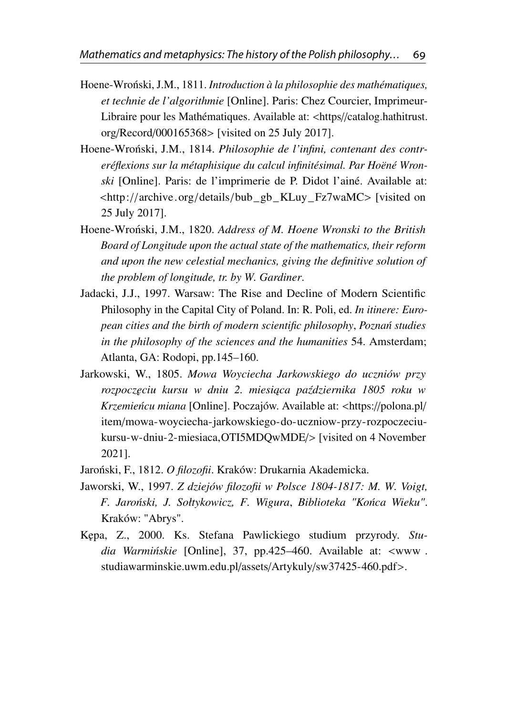- <span id="page-24-2"></span>Hoene-Wroński, J.M., 1811. *Introduction à la philosophie des mathématiques*, *et technie de l'algorithmie* [Online]. Paris: Chez Courcier, ImprimeurLibraire pour les Mathématiques. Available at: <https//[catalog.hathitrust.](https//catalog.hathitrust.org/Record/000165368) org/Record/[000165368](https//catalog.hathitrust.org/Record/000165368)> [visited on 25 July 2017].
- <span id="page-24-5"></span>Hoene-Wroński, J.M., 1814. Philosophie de l'infini, contenant des contr*eréflexions sur la métaphisique du calcul infinitésimal. Par Hoëné Wronski* [Online]. Paris: de l'imprimerie de P. Didot l'ainé. Available at: <http://archive.org/details/[bub\\_gb\\_KLuy\\_Fz7waMC](http://archive.org/details/bub_gb_KLuy_Fz7waMC)> [visited on 25 July 2017].
- <span id="page-24-3"></span>Hoene-Wroński, J.M., 1820. Address of M. Hoene Wronski to the British *Board of Longitude upon the actual state of the mathematics, their reform and upon the new celestial mechanics, giving the definitive solution of the problem of longitude, tr. by W. Gardiner*.
- <span id="page-24-6"></span>Jadacki, J.J., 1997. Warsaw: The Rise and Decline of Modern Scientific Philosophy in the Capital City of Poland. In: R. Poli, ed. *In itinere: European cities and the birth of modern scientific philosophy, Poznań studies in the philosophy of the sciences and the humanities* 54. Amsterdam; Atlanta, GA: Rodopi, pp.145–160.
- <span id="page-24-0"></span>Jarkowski, W., 1805. *Mowa Woyciecha Jarkowskiego do uczniów przy rozpocz˛eciu kursu w dniu 2. miesi ˛aca pa´zdziernika 1805 roku w Krzemieńcu miana* [Online]. Poczajów. Available at: <https://[polona.pl](https://polona.pl/item/mowa-woyciecha-jarkowskiego-do-uczniow-przy-rozpoczeciu-kursu-w-dniu-2-miesiaca,OTI5MDQwMDE/)/ item/[mowa-woyciecha-jarkowskiego-do-uczniow-przy-rozpoczeciu](https://polona.pl/item/mowa-woyciecha-jarkowskiego-do-uczniow-przy-rozpoczeciu-kursu-w-dniu-2-miesiaca,OTI5MDQwMDE/)[kursu-w-dniu-2-miesiaca,OTI5MDQwMDE](https://polona.pl/item/mowa-woyciecha-jarkowskiego-do-uczniow-przy-rozpoczeciu-kursu-w-dniu-2-miesiaca,OTI5MDQwMDE/)/> [visited on 4 November 2021].
- <span id="page-24-4"></span>Jaroński, F., 1812. O filozofii. Kraków: Drukarnia Akademicka.
- <span id="page-24-1"></span>Jaworski, W., 1997. *Z dziejów filozofii w Polsce 1804-1817: M. W. Voigt, F. Jaro´nski, J. Sołtykowicz, F. Wigura*, *Biblioteka "Ko´nca Wieku"*. Kraków: "Abrys".
- <span id="page-24-7"></span>K˛epa, Z., 2000. Ks. Stefana Pawlickiego studium przyrody. *Studia Warmińskie* [Online], 37, pp.425–460. Available at: <www. [studiawarminskie.uwm.edu.pl](www.studiawarminskie.uwm.edu.pl/assets/Artykuly/sw37425-460.pdf)/assets/Artykuly/sw37425-460.pdf>.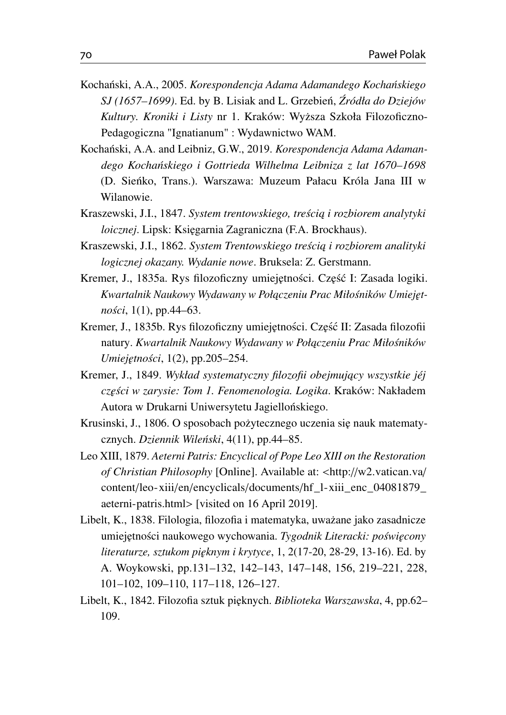- <span id="page-25-0"></span>Kochański, A.A., 2005. *Korespondencja Adama Adamandego Kochańskiego SJ (1657–1699)*. Ed. by B. Lisiak and L. Grzebień, Źródła do Dziejów *Kultury. Kroniki i Listy* nr 1. Kraków: Wy˙zsza Szkoła Filozoficzno-Pedagogiczna "Ignatianum" : Wydawnictwo WAM.
- <span id="page-25-1"></span>Kochański, A.A. and Leibniz, G.W., 2019. Korespondencja Adama Adaman*dego Kocha´nskiego i Gottrieda Wilhelma Leibniza z lat 1670–1698* (D. Sienko, Trans.). Warszawa: Muzeum Pałacu Króla Jana III w ´ Wilanowie.
- <span id="page-25-5"></span>Kraszewski, J.I., 1847. *System trentowskiego, treścią i rozbiorem analytyki loicznej*. Lipsk: Ksi˛egarnia Zagraniczna (F.A. Brockhaus).
- <span id="page-25-6"></span>Kraszewski, J.I., 1862. *System Trentowskiego tresci ˛a i rozbiorem analityki ´ logicznej okazany. Wydanie nowe*. Bruksela: Z. Gerstmann.
- <span id="page-25-8"></span>Kremer, J., 1835a. Rys filozoficzny umiejętności. Część I: Zasada logiki. *Kwartalnik Naukowy Wydawany w Poł ˛aczeniu Prac Miłosników Umiej˛et- ´ nosci ´* , 1(1), pp.44–63.
- <span id="page-25-9"></span>Kremer, J., 1835b. Rys filozoficzny umiejętności. Część II: Zasada filozofii natury. *Kwartalnik Naukowy Wydawany w Połączeniu Prac Miłośników Umiej˛etnosci ´* , 1(2), pp.205–254.
- <span id="page-25-7"></span>Kremer, J., 1849. *Wykład systematyczny filozofii obejmujący wszystkie jéj cz˛esci w zarysie: Tom 1. Fenomenologia. Logika ´* . Kraków: Nakładem Autora w Drukarni Uniwersytetu Jagiellońskiego.
- <span id="page-25-2"></span>Krusinski, J., 1806. O sposobach pożytecznego uczenia się nauk matematycznych. *Dziennik Wileński*, 4(11), pp.44–85.
- <span id="page-25-10"></span>Leo XIII, 1879. *Aeterni Patris: Encyclical of Pope Leo XIII on the Restoration of Christian Philosophy* [Online]. Available at: <http://[w2.vatican.va](http://w2.vatican.va/content/leo-xiii/en/encyclicals/documents/hf_l-xiii_enc_04081879_aeterni-patris.html)/ content/leo-xiii/en/encyclicals/documents/[hf\\_l-xiii\\_enc\\_04081879\\_](http://w2.vatican.va/content/leo-xiii/en/encyclicals/documents/hf_l-xiii_enc_04081879_aeterni-patris.html) [aeterni-patris.html](http://w2.vatican.va/content/leo-xiii/en/encyclicals/documents/hf_l-xiii_enc_04081879_aeterni-patris.html)> [visited on 16 April 2019].
- <span id="page-25-3"></span>Libelt, K., 1838. Filologia, filozofia i matematyka, uważane jako zasadnicze umiejętności naukowego wychowania. Tygodnik Literacki: poświęcony *literaturze, sztukom pi˛eknym i krytyce*, 1, 2(17-20, 28-29, 13-16). Ed. by A. Woykowski, pp.131–132, 142–143, 147–148, 156, 219–221, 228, 101–102, 109–110, 117–118, 126–127.
- <span id="page-25-4"></span>Libelt, K., 1842. Filozofia sztuk pi˛eknych. *Biblioteka Warszawska*, 4, pp.62– 109.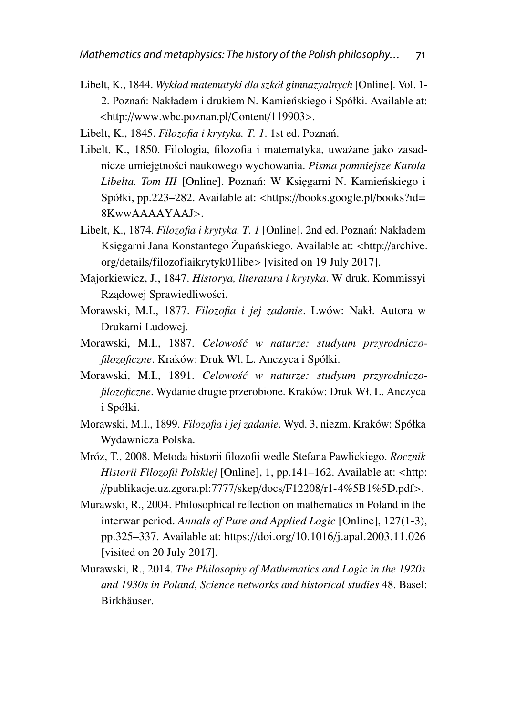- <span id="page-26-3"></span>Libelt, K., 1844. *Wykład matematyki dla szkół gimnazyalnych* [Online]. Vol. 1- 2. Poznań: Nakładem i drukiem N. Kamieńskiego i Spółki. Available at: <http://[www.wbc.poznan.pl](http://www.wbc.poznan.pl/Content/119903)/Content/119903>.
- <span id="page-26-6"></span>Libelt, K., 1845. *Filozofia i krytyka. T. 1*. 1st ed. Poznan.´
- <span id="page-26-4"></span>Libelt, K., 1850. Filologia, filozofia i matematyka, uważane jako zasadnicze umiejętności naukowego wychowania. Pisma pomniejsze Karola *Libelta. Tom III* [Online]. Poznań: W Księgarni N. Kamieńskiego i Spółki, pp.223–282. Available at: <https://[books.google.pl](https://books.google.pl/books?id=8KwwAAAAYAAJ)/books?id= [8KwwAAAAYAAJ](https://books.google.pl/books?id=8KwwAAAAYAAJ)>.
- <span id="page-26-5"></span>Libelt, K., 1874. *Filozofia i krytyka. T. 1* [Online]. 2nd ed. Poznań: Nakładem Księgarni Jana Konstantego Żupańskiego. Available at: <http://[archive.](http://archive.org/details/filozofiaikrytyk01libe) org/details/[filozofiaikrytyk01libe](http://archive.org/details/filozofiaikrytyk01libe)> [visited on 19 July 2017].
- <span id="page-26-2"></span>Majorkiewicz, J., 1847. *Historya, literatura i krytyka*. W druk. Kommissyi Rządowej Sprawiedliwości.
- <span id="page-26-7"></span>Morawski, M.I., 1877. *Filozofia i jej zadanie*. Lwów: Nakł. Autora w Drukarni Ludowej.
- <span id="page-26-9"></span>Morawski, M.I., 1887. *Celowos´c w naturze: studyum przyrodniczo- ´ filozoficzne*. Kraków: Druk Wł. L. Anczyca i Spółki.
- <span id="page-26-10"></span>Morawski, M.I., 1891. *Celowos´c w naturze: studyum przyrodniczo- ´ filozoficzne*. Wydanie drugie przerobione. Kraków: Druk Wł. L. Anczyca i Spółki.
- <span id="page-26-8"></span>Morawski, M.I., 1899. *Filozofia i jej zadanie*. Wyd. 3, niezm. Kraków: Spółka Wydawnicza Polska.
- <span id="page-26-11"></span>Mróz, T., 2008. Metoda historii filozofii wedle Stefana Pawlickiego. *Rocznik Historii Filozofii Polskiej* [Online], 1, pp.141–162. Available at: <[http:](http://publikacje.uz.zgora.pl:7777/skep/docs/F12208/r1-4%5B1%5D.pdf) //[publikacje.uz.zgora.pl:7777](http://publikacje.uz.zgora.pl:7777/skep/docs/F12208/r1-4%5B1%5D.pdf)/skep/docs/F12208/r1-4%5B1%5D.pdf>.
- <span id="page-26-0"></span>Murawski, R., 2004. Philosophical reflection on mathematics in Poland in the interwar period. *Annals of Pure and Applied Logic* [Online], 127(1-3), pp.325–337. Available at: https://doi.org/10.1016/[j.apal.2003.11.026](https://doi.org/10.1016/j.apal.2003.11.026) [visited on 20 July 2017].
- <span id="page-26-1"></span>Murawski, R., 2014. *The Philosophy of Mathematics and Logic in the 1920s and 1930s in Poland*, *Science networks and historical studies* 48. Basel: Birkhäuser.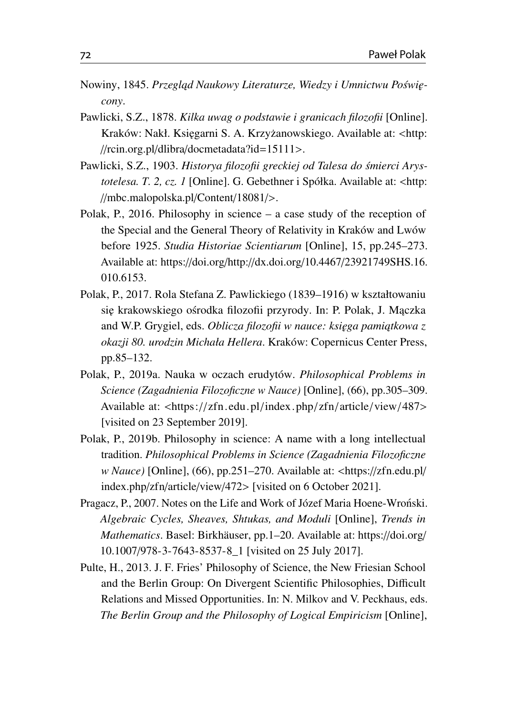- <span id="page-27-3"></span>Nowiny, 1845. Przegląd Naukowy Literaturze, Wiedzy i Umnictwu Poświę*cony*.
- <span id="page-27-7"></span>Pawlicki, S.Z., 1878. *Kilka uwag o podstawie i granicach filozofii* [Online]. Kraków: Nakł. Księgarni S. A. Krzyżanowskiego. Available at: <[http:](http://rcin.org.pl/dlibra/docmetadata?id=15111) //rcin.org.pl/dlibra/[docmetadata?id](http://rcin.org.pl/dlibra/docmetadata?id=15111)=15111>.
- <span id="page-27-8"></span>Pawlicki, S.Z., 1903. *Historya filozofii greckiej od Talesa do smierci Arys- ´ totelesa. T. 2, cz. 1* [Online]. G. Gebethner i Spółka. Available at: <[http:](http://mbc.malopolska.pl/Content/18081/) //[mbc.malopolska.pl](http://mbc.malopolska.pl/Content/18081/)/Content/18081/>.
- <span id="page-27-0"></span>Polak, P., 2016. Philosophy in science – a case study of the reception of the Special and the General Theory of Relativity in Kraków and Lwów before 1925. *Studia Historiae Scientiarum* [Online], 15, pp.245–273. Available at: https://doi.org/http://dx.doi.org/10.4467/[23921749SHS.16.](https://doi.org/http://dx.doi.org/10.4467/23921749SHS.16.010.6153) [010.6153.](https://doi.org/http://dx.doi.org/10.4467/23921749SHS.16.010.6153)
- <span id="page-27-6"></span>Polak, P., 2017. Rola Stefana Z. Pawlickiego (1839–1916) w kształtowaniu się krakowskiego ośrodka filozofii przyrody. In: P. Polak, J. Maczka and W.P. Grygiel, eds. *Oblicza filozofii w nauce: księga pamiątkowa z okazji 80. urodzin Michała Hellera*. Kraków: Copernicus Center Press, pp.85–132.
- <span id="page-27-2"></span>Polak, P., 2019a. Nauka w oczach erudytów. *Philosophical Problems in Science (Zagadnienia Filozoficzne w Nauce)* [Online], (66), pp.305–309. Available at: <https://[zfn.edu.pl](https://zfn.edu.pl/index.php/zfn/article/view/487)/index.php/zfn/article/view/487> [visited on 23 September 2019].
- <span id="page-27-1"></span>Polak, P., 2019b. Philosophy in science: A name with a long intellectual tradition. *Philosophical Problems in Science (Zagadnienia Filozoficzne w Nauce)* [Online], (66), pp.251–270. Available at: <https://[zfn.edu.pl](https://zfn.edu.pl/index.php/zfn/article/view/472)/ [index.php](https://zfn.edu.pl/index.php/zfn/article/view/472)/zfn/article/view/472> [visited on 6 October 2021].
- <span id="page-27-4"></span>Pragacz, P., 2007. Notes on the Life and Work of Józef Maria Hoene-Wronski. *Algebraic Cycles, Sheaves, Shtukas, and Moduli* [Online], *Trends in Mathematics*. Basel: Birkhäuser, pp.1–20. Available at: https://[doi.org](https://doi.org/10.1007/978-3-7643-8537-8_1)/ 10.1007/[978-3-7643-8537-8\\_1](https://doi.org/10.1007/978-3-7643-8537-8_1) [visited on 25 July 2017].
- <span id="page-27-5"></span>Pulte, H., 2013. J. F. Fries' Philosophy of Science, the New Friesian School and the Berlin Group: On Divergent Scientific Philosophies, Difficult Relations and Missed Opportunities. In: N. Milkov and V. Peckhaus, eds. *The Berlin Group and the Philosophy of Logical Empiricism* [Online],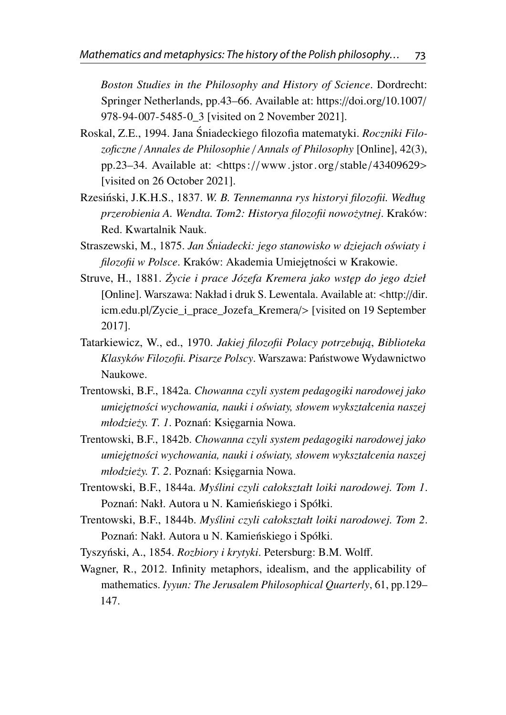*Boston Studies in the Philosophy and History of Science*. Dordrecht: Springer Netherlands, pp.43–66. Available at: https://doi.org/[10.1007](https://doi.org/10.1007/978-94-007-5485-0_3)/ [978-94-007-5485-0\\_3](https://doi.org/10.1007/978-94-007-5485-0_3) [visited on 2 November 2021].

- <span id="page-28-1"></span>Roskal, Z.E., 1994. Jana Śniadeckiego filozofia matematyki. *Roczniki Filozoficzne* / *Annales de Philosophie* / *Annals of Philosophy* [Online], 42(3), pp.23–34. Available at: <https://[www.jstor.org](https://www.jstor.org/stable/43409629)/stable / 43409629> [visited on 26 October 2021].
- <span id="page-28-10"></span>Rzesiński, J.K.H.S., 1837. W. B. Tennemanna rys historyi filozofii. Według *przerobienia A. Wendta. Tom2: Historya filozofii nowo˙zytnej*. Kraków: Red. Kwartalnik Nauk.
- <span id="page-28-0"></span>Straszewski, M., 1875. Jan Śniadecki: jego stanowisko w dziejach oświaty i *filozofii w Polsce*. Kraków: Akademia Umiejętności w Krakowie.
- <span id="page-28-9"></span>Struve, H., 1881. *Zycie i prace Józefa Kremera jako wst˛ep do jego dzieł ˙* [Online]. Warszawa: Nakład i druk S. Lewentala. Available at: <[http:](http://dir.icm.edu.pl/Zycie_i_prace_Jozefa_Kremera/)//dir. icm.edu.pl/[Zycie\\_i\\_prace\\_Jozefa\\_Kremera](http://dir.icm.edu.pl/Zycie_i_prace_Jozefa_Kremera/)/> [visited on 19 September 2017].
- <span id="page-28-2"></span>Tatarkiewicz, W., ed., 1970. Jakiej filozofii Polacy potrzebują, Biblioteka *Klasyków Filozofii. Pisarze Polscy*. Warszawa: Panstwowe Wydawnictwo ´ Naukowe.
- <span id="page-28-5"></span>Trentowski, B.F., 1842a. *Chowanna czyli system pedagogiki narodowej jako umiej˛etnosci wychowania, nauki i o ´ swiaty, słowem wykształcenia naszej ´ młodzieży. T. 1. Poznań: Ksiegarnia Nowa.*
- <span id="page-28-6"></span>Trentowski, B.F., 1842b. *Chowanna czyli system pedagogiki narodowej jako umiej˛etnosci wychowania, nauki i o ´ swiaty, słowem wykształcenia naszej ´ młodzieży. T. 2. Poznań: Księgarnia Nowa.*
- <span id="page-28-7"></span>Trentowski, B.F., 1844a. *Myslini czyli całokształt loiki narodowej. Tom 1 ´* . Poznań: Nakł. Autora u N. Kamieńskiego i Spółki.
- <span id="page-28-8"></span>Trentowski, B.F., 1844b. *Myslini czyli całokształt loiki narodowej. Tom 2 ´* . Poznań: Nakł. Autora u N. Kamieńskiego i Spółki.
- <span id="page-28-3"></span>Tyszyński, A., 1854. *Rozbiory i krytyki*. Petersburg: B.M. Wolff.
- <span id="page-28-4"></span>Wagner, R., 2012. Infinity metaphors, idealism, and the applicability of mathematics. *Iyyun: The Jerusalem Philosophical Quarterly*, 61, pp.129– 147.